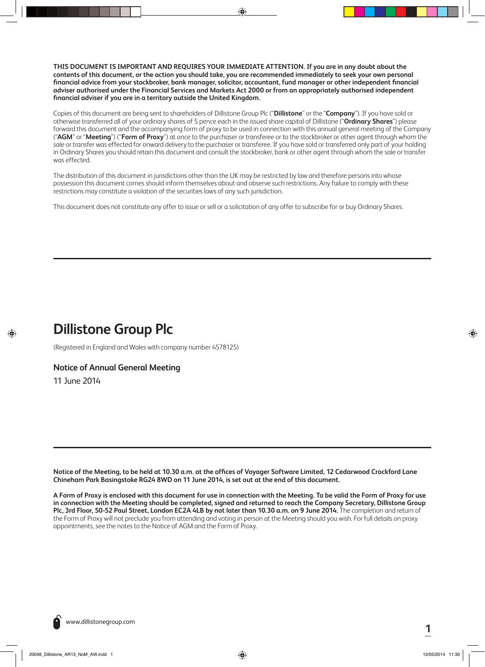**THIS DOCUMENT IS IMPORTANT AND REQUIRES YOUR IMMEDIATE ATTENTION. If you are in any doubt about the contents of this document, or the action you should take, you are recommended immediately to seek your own personal financial advice from your stockbroker, bank manager, solicitor, accountant, fund manager or other independent financial adviser authorised under the Financial Services and Markets Act 2000 or from an appropriately authorised independent financial adviser if you are in a territory outside the United Kingdom.**

Copies of this document are being sent to shareholders of Dillistone Group Plc ("**Dillistone**" or the "**Company**"). If you have sold or otherwise transferred all of your ordinary shares of 5 pence each in the issued share capital of Dillistone ("**Ordinary Shares**") please forward this document and the accompanying form of proxy to be used in connection with this annual general meeting of the Company ("**AGM**" or "**Meeting**") ("**Form of Proxy**") at once to the purchaser or transferee or to the stockbroker or other agent through whom the sale or transfer was effected for onward delivery to the purchaser or transferee. If you have sold or transferred only part of your holding in Ordinary Shares you should retain this document and consult the stockbroker, bank or other agent through whom the sale or transfer was effected.

The distribution of this document in jurisdictions other than the UK may be restricted by law and therefore persons into whose possession this document comes should inform themselves about and observe such restrictions. Any failure to comply with these restrictions may constitute a violation of the securities laws of any such jurisdiction.

This document does not constitute any offer to issue or sell or a solicitation of any offer to subscribe for or buy Ordinary Shares.

# **Dillistone Group Plc**

**Operator:** Darren **Proof:** 01

**Set-up:** Darren **Date:** 9 May 2014 5:31 PM First Read/Revisions

(Registered in England and Wales with company number 4578125)

# **Notice of Annual General Meeting**

11 June 2014

◈

**Notice of the Meeting, to be held at 10.30 a.m. at the offices of Voyager Software Limited, 12 Cedarwood Crockford Lane Chineham Park Basingstoke RG24 8WD on 11 June 2014, is set out at the end of this document.**

**A Form of Proxy is enclosed with this document for use in connection with the Meeting. To be valid the Form of Proxy for use in connection with the Meeting should be completed, signed and returned to reach the Company Secretary, Dillistone Group Plc, 3rd Floor, 50-52 Paul Street, London EC2A 4LB by not later than 10.30 a.m. on 9 June 2014.** The completion and return of the Form of Proxy will not preclude you from attending and voting in person at the Meeting should you wish. For full details on proxy appointments, see the notes to the Notice of AGM and the Form of Proxy.



◈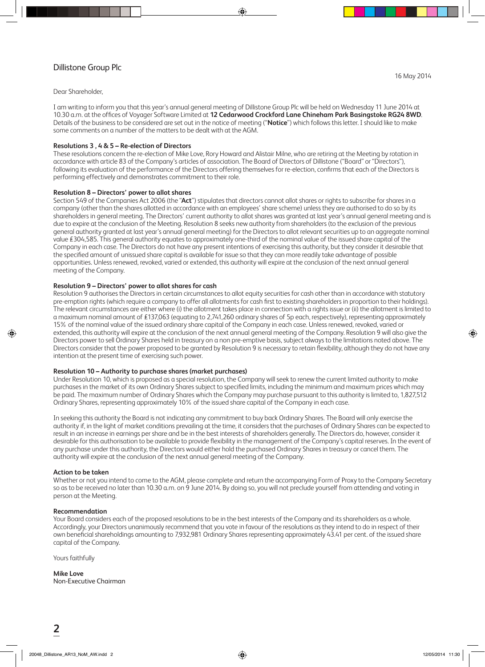# Dillistone Group Plc

**Operator:** rich **Proof:** 02

**Set-up:** Darren **Date:** 9 May 2014 5:31 PM First Read/Revisions

Dear Shareholder,

I am writing to inform you that this year's annual general meeting of Dillistone Group Plc will be held on Wednesday 11 June 2014 at 10.30 a.m. at the offices of Voyager Software Limited at **12 Cedarwood Crockford Lane Chineham Park Basingstoke RG24 8WD**. Details of the business to be considered are set out in the notice of meeting ("**Notice**") which follows this letter. I should like to make some comments on a number of the matters to be dealt with at the AGM.

# **Resolutions 3 , 4 & 5 – Re-election of Directors**

These resolutions concern the re-election of Mike Love, Rory Howard and Alistair Milne, who are retiring at the Meeting by rotation in accordance with article 83 of the Company's articles of association. The Board of Directors of Dillistone ("Board" or "Directors"), following its evaluation of the performance of the Directors offering themselves for re-election, confirms that each of the Directors is performing effectively and demonstrates commitment to their role.

#### **Resolution 8 – Directors' power to allot shares**

Section 549 of the Companies Act 2006 (the "**Act**") stipulates that directors cannot allot shares or rights to subscribe for shares in a company (other than the shares allotted in accordance with an employees' share scheme) unless they are authorised to do so by its shareholders in general meeting. The Directors' current authority to allot shares was granted at last year's annual general meeting and is due to expire at the conclusion of the Meeting. Resolution 8 seeks new authority from shareholders (to the exclusion of the previous general authority granted at last year's annual general meeting) for the Directors to allot relevant securities up to an aggregate nominal value £304,585. This general authority equates to approximately one-third of the nominal value of the issued share capital of the Company in each case. The Directors do not have any present intentions of exercising this authority, but they consider it desirable that the specified amount of unissued share capital is available for issue so that they can more readily take advantage of possible opportunities. Unless renewed, revoked, varied or extended, this authority will expire at the conclusion of the next annual general meeting of the Company.

#### **Resolution 9 – Directors' power to allot shares for cash**

Resolution 9 authorises the Directors in certain circumstances to allot equity securities for cash other than in accordance with statutory pre-emption rights (which require a company to offer all allotments for cash first to existing shareholders in proportion to their holdings). The relevant circumstances are either where (i) the allotment takes place in connection with a rights issue or (ii) the allotment is limited to a maximum nominal amount of £137,063 (equating to 2,741,260 ordinary shares of 5p each, respectively), representing approximately 15% of the nominal value of the issued ordinary share capital of the Company in each case. Unless renewed, revoked, varied or extended, this authority will expire at the conclusion of the next annual general meeting of the Company. Resolution 9 will also give the Directors power to sell Ordinary Shares held in treasury on a non pre-emptive basis, subject always to the limitations noted above. The Directors consider that the power proposed to be granted by Resolution 9 is necessary to retain flexibility, although they do not have any intention at the present time of exercising such power.

## **Resolution 10 – Authority to purchase shares (market purchases)**

Under Resolution 10, which is proposed as a special resolution, the Company will seek to renew the current limited authority to make purchases in the market of its own Ordinary Shares subject to specified limits, including the minimum and maximum prices which may be paid. The maximum number of Ordinary Shares which the Company may purchase pursuant to this authority is limited to, 1,827,512 Ordinary Shares, representing approximately 10% of the issued share capital of the Company in each case.

In seeking this authority the Board is not indicating any commitment to buy back Ordinary Shares. The Board will only exercise the authority if, in the light of market conditions prevailing at the time, it considers that the purchases of Ordinary Shares can be expected to result in an increase in earnings per share and be in the best interests of shareholders generally. The Directors do, however, consider it desirable for this authorisation to be available to provide flexibility in the management of the Company's capital reserves. In the event of any purchase under this authority, the Directors would either hold the purchased Ordinary Shares in treasury or cancel them. The authority will expire at the conclusion of the next annual general meeting of the Company.

#### **Action to be taken**

Whether or not you intend to come to the AGM, please complete and return the accompanying Form of Proxy to the Company Secretary so as to be received no later than 10.30 a.m. on 9 June 2014. By doing so, you will not preclude yourself from attending and voting in person at the Meeting.

## **Recommendation**

Your Board considers each of the proposed resolutions to be in the best interests of the Company and its shareholders as a whole. Accordingly, your Directors unanimously recommend that you vote in favour of the resolutions as they intend to do in respect of their own beneficial shareholdings amounting to 7,932,981 Ordinary Shares representing approximately 43.41 per cent. of the issued share capital of the Company.

Yours faithfully

**Mike Love** Non-Executive Chairman 16 May 2014

◈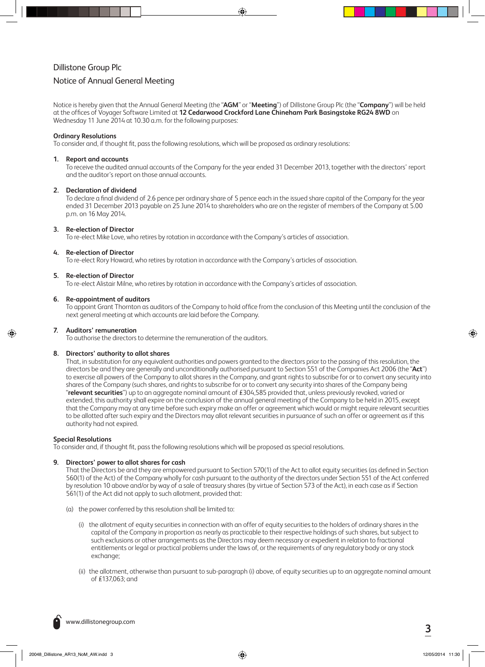# Dillistone Group Plc

**Operator:** Darren **Proof:** 01

# Notice of Annual General Meeting

**Set-up:** Darren **Date:** 9 May 2014 5:31 PM First Read/Revisions

Notice is hereby given that the Annual General Meeting (the "**AGM**" or "**Meeting**") of Dillistone Group Plc (the "**Company**") will be held at the offices of Voyager Software Limited at **12 Cedarwood Crockford Lane Chineham Park Basingstoke RG24 8WD** on Wednesday 11 June 2014 at 10.30 a.m. for the following purposes:

## **Ordinary Resolutions**

To consider and, if thought fit, pass the following resolutions, which will be proposed as ordinary resolutions:

#### **1. Report and accounts**

To receive the audited annual accounts of the Company for the year ended 31 December 2013, together with the directors' report and the auditor's report on those annual accounts.

## **2. Declaration of dividend**

To declare a final dividend of 2.6 pence per ordinary share of 5 pence each in the issued share capital of the Company for the year ended 31 December 2013 payable on 25 June 2014 to shareholders who are on the register of members of the Company at 5.00 p.m. on 16 May 2014.

## **3. Re-election of Director**

To re-elect Mike Love, who retires by rotation in accordance with the Company's articles of association.

## **4. Re-election of Director**

To re-elect Rory Howard, who retires by rotation in accordance with the Company's articles of association.

## **5. Re-election of Director**

To re-elect Alistair Milne, who retires by rotation in accordance with the Company's articles of association.

#### **6. Re-appointment of auditors**

To appoint Grant Thornton as auditors of the Company to hold office from the conclusion of this Meeting until the conclusion of the next general meeting at which accounts are laid before the Company.

# **7. Auditors' remuneration**

To authorise the directors to determine the remuneration of the auditors.

#### **8. Directors' authority to allot shares**

That, in substitution for any equivalent authorities and powers granted to the directors prior to the passing of this resolution, the directors be and they are generally and unconditionally authorised pursuant to Section 551 of the Companies Act 2006 (the "**Act**") to exercise all powers of the Company to allot shares in the Company, and grant rights to subscribe for or to convert any security into shares of the Company (such shares, and rights to subscribe for or to convert any security into shares of the Company being "**relevant securities**") up to an aggregate nominal amount of £304,585 provided that, unless previously revoked, varied or extended, this authority shall expire on the conclusion of the annual general meeting of the Company to be held in 2015, except that the Company may at any time before such expiry make an offer or agreement which would or might require relevant securities to be allotted after such expiry and the Directors may allot relevant securities in pursuance of such an offer or agreement as if this authority had not expired.

# **Special Resolutions**

To consider and, if thought fit, pass the following resolutions which will be proposed as special resolutions.

## **9. Directors' power to allot shares for cash**

That the Directors be and they are empowered pursuant to Section 570(1) of the Act to allot equity securities (as defined in Section 560(1) of the Act) of the Company wholly for cash pursuant to the authority of the directors under Section 551 of the Act conferred by resolution 10 above and/or by way of a sale of treasury shares (by virtue of Section 573 of the Act), in each case as if Section 561(1) of the Act did not apply to such allotment, provided that:

- (a) the power conferred by this resolution shall be limited to:
	- (i) the allotment of equity securities in connection with an offer of equity securities to the holders of ordinary shares in the capital of the Company in proportion as nearly as practicable to their respective holdings of such shares, but subject to such exclusions or other arrangements as the Directors may deem necessary or expedient in relation to fractional entitlements or legal or practical problems under the laws of, or the requirements of any regulatory body or any stock exchange;
	- (ii) the allotment, otherwise than pursuant to sub-paragraph (i) above, of equity securities up to an aggregate nominal amount of £137,063; and

**<sup>3</sup>** www.dillistonegroup.com

◈